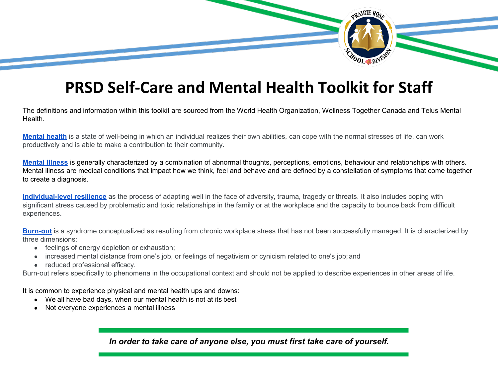

## **PRSD Self-Care and Mental Health Toolkit for Staff**

The definitions and information within this toolkit are sourced from the World Health Organization, Wellness Together Canada and Telus Mental Health.

**[Mental health](https://www.who.int/news-room/fact-sheets/detail/mental-health-strengthening-our-response)** is a state of well-being in which an individual realizes their own abilities, can cope with the normal stresses of life, can work productively and is able to make a contribution to their community.

**[Mental Illness](https://www.who.int/news-room/fact-sheets/detail/mental-disorders)** is generally characterized by a combination of abnormal thoughts, perceptions, emotions, behaviour and relationships with others. Mental illness are medical conditions that impact how we think, feel and behave and are defined by a constellation of symptoms that come together to create a diagnosis.

**[Individual-level resilience](https://www.euro.who.int/__data/assets/pdf_file/0005/351284/resilience-report-20171004-h1635.pdf)** as the process of adapting well in the face of adversity, trauma, tragedy or threats. It also includes coping with significant stress caused by problematic and toxic relationships in the family or at the workplace and the capacity to bounce back from difficult experiences.

**[Burn-out](https://www.who.int/news/item/28-05-2019-burn-out-an-occupational-phenomenon-international-classification-of-diseases)** is a syndrome conceptualized as resulting from chronic workplace stress that has not been successfully managed. It is characterized by three dimensions:

- feelings of energy depletion or exhaustion;
- increased mental distance from one's job, or feelings of negativism or cynicism related to one's job;and
- reduced professional efficacy.

Burn-out refers specifically to phenomena in the occupational context and should not be applied to describe experiences in other areas of life.

It is common to experience physical and mental health ups and downs:

- We all have bad days, when our mental health is not at its best
- Not everyone experiences a mental illness

*In order to take care of anyone else, you must first take care of yourself.*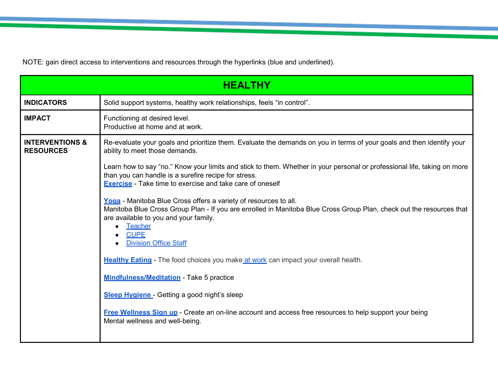NOTE: gain direct access to interventions and resources through the hyperlinks (blue and underlined).

| <b>HEALTHY</b>                                 |                                                                                                                                                                                                                                                                                                    |  |
|------------------------------------------------|----------------------------------------------------------------------------------------------------------------------------------------------------------------------------------------------------------------------------------------------------------------------------------------------------|--|
| <b>INDICATORS</b>                              | Solid support systems, healthy work relationships, feels "in control".                                                                                                                                                                                                                             |  |
| <b>IMPACT</b>                                  | Functioning at desired level.<br>Productive at home and at work.                                                                                                                                                                                                                                   |  |
| <b>INTERVENTIONS &amp;</b><br><b>RESOURCES</b> | Re-evaluate your goals and prioritize them. Evaluate the demands on you in terms of your goals and then identify your<br>ability to meet those demands.                                                                                                                                            |  |
|                                                | Learn how to say "no." Know your limits and stick to them. Whether in your personal or professional life, taking on more<br>than you can handle is a surefire recipe for stress.<br><b>Exercise</b> - Take time to exercise and take care of oneself                                               |  |
|                                                | Yoga - Manitoba Blue Cross offers a variety of resources to all.<br>Manitoba Blue Cross Group Plan - If you are enrolled in Manitoba Blue Cross Group Plan, check out the resources that<br>are available to you and your family.<br><b>Teacher</b><br><b>CUPE</b><br><b>Division Office Staff</b> |  |
|                                                | Healthy Eating - The food choices you make at work can impact your overall health.                                                                                                                                                                                                                 |  |
|                                                | <b>Mindfulness/Meditation - Take 5 practice</b>                                                                                                                                                                                                                                                    |  |
|                                                | Sleep Hygiene - Getting a good night's sleep                                                                                                                                                                                                                                                       |  |
|                                                | <b>Free Wellness Sign up</b> - Create an on-line account and access free resources to help support your being<br>Mental wellness and well-being.                                                                                                                                                   |  |
|                                                |                                                                                                                                                                                                                                                                                                    |  |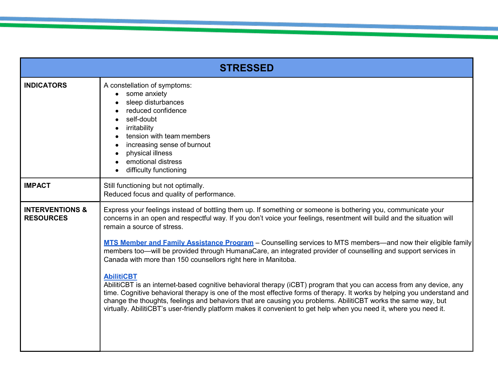| <b>STRESSED</b>                                |                                                                                                                                                                                                                                                                                                                                                                                                                                                                                                                                                                                                                                                                                                                                                                                                                                                                                                                                                                                                                                                                                           |  |
|------------------------------------------------|-------------------------------------------------------------------------------------------------------------------------------------------------------------------------------------------------------------------------------------------------------------------------------------------------------------------------------------------------------------------------------------------------------------------------------------------------------------------------------------------------------------------------------------------------------------------------------------------------------------------------------------------------------------------------------------------------------------------------------------------------------------------------------------------------------------------------------------------------------------------------------------------------------------------------------------------------------------------------------------------------------------------------------------------------------------------------------------------|--|
| <b>INDICATORS</b>                              | A constellation of symptoms:<br>some anxiety<br>sleep disturbances<br>reduced confidence<br>self-doubt<br>irritability<br>tension with team members<br>increasing sense of burnout<br>physical illness<br>emotional distress<br>difficulty functioning                                                                                                                                                                                                                                                                                                                                                                                                                                                                                                                                                                                                                                                                                                                                                                                                                                    |  |
| <b>IMPACT</b>                                  | Still functioning but not optimally.<br>Reduced focus and quality of performance.                                                                                                                                                                                                                                                                                                                                                                                                                                                                                                                                                                                                                                                                                                                                                                                                                                                                                                                                                                                                         |  |
| <b>INTERVENTIONS &amp;</b><br><b>RESOURCES</b> | Express your feelings instead of bottling them up. If something or someone is bothering you, communicate your<br>concerns in an open and respectful way. If you don't voice your feelings, resentment will build and the situation will<br>remain a source of stress.<br>MTS Member and Family Assistance Program - Counselling services to MTS members—and now their eligible family<br>members too—will be provided through HumanaCare, an integrated provider of counselling and support services in<br>Canada with more than 150 counsellors right here in Manitoba.<br><b>AbilitiCBT</b><br>AbilitiCBT is an internet-based cognitive behavioral therapy (iCBT) program that you can access from any device, any<br>time. Cognitive behavioral therapy is one of the most effective forms of therapy. It works by helping you understand and<br>change the thoughts, feelings and behaviors that are causing you problems. AbilitiCBT works the same way, but<br>virtually. AbilitiCBT's user-friendly platform makes it convenient to get help when you need it, where you need it. |  |

e de la construcción de la construcción de la construcción de la construcción de la construcción de la constru<br>La construcción

<u> Partie de la provincia de la p</u>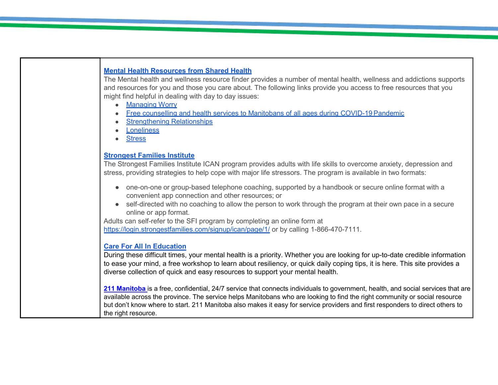## **[Mental Health Resources from Shared Health](https://sharedhealthmb.ca/covid19/providers/mental-health-resources/)** The Mental health and wellness resource finder provides a number of mental health, wellness and addictions supports and resources for you and those you care about. The following links provide you access to free resources that you might find helpful in dealing with day to day issues: ● [Managing](https://wellnesstogether.ca/en-CA/worry) Worry • Free counselling and health services to Manitobans of all ages during COVID-19 Pandemic **[Strengthening](https://wellnesstogether.ca/en-CA/relationships) Relationships** ● [Loneliness](https://wellnesstogether.ca/en-CA/loneliness) **[Stress](https://wellnesstogether.ca/en-CA/stress) [Strongest Families Institute](https://strongestfamilies.com/)** The Strongest Families Institute ICAN program provides adults with life skills to overcome anxiety, depression and stress, providing strategies to help cope with major life stressors. The program is available in two formats: • one-on-one or group-based telephone coaching, supported by a handbook or secure online format with a convenient app connection and other resources; or ● self-directed with no coaching to allow the person to work through the program at their own pace in a secure online or app format. Adults can self-refer to the SFI program by completing an online form at <https://login.strongestfamilies.com/signup/ican/page/1/> or by calling 1-866-470-7111. **[Care For All In Education](https://careforallineducation.com/)** During these difficult times, your mental health is a priority. Whether you are looking for up-to-date credible information to ease your mind, a free workshop to learn about resiliency, or quick daily coping tips, it is here. This site provides a diverse collection of quick and easy resources to support your mental health. **[211 Manitoba](https://mb.211.ca/about/)** is a free, confidential, 24/7 service that connects individuals to government, health, and social services that are available across the province. The service helps Manitobans who are looking to find the right community or social resource but don't know where to start. 211 Manitoba also makes it easy for service providers and first responders to direct others to the right resource.